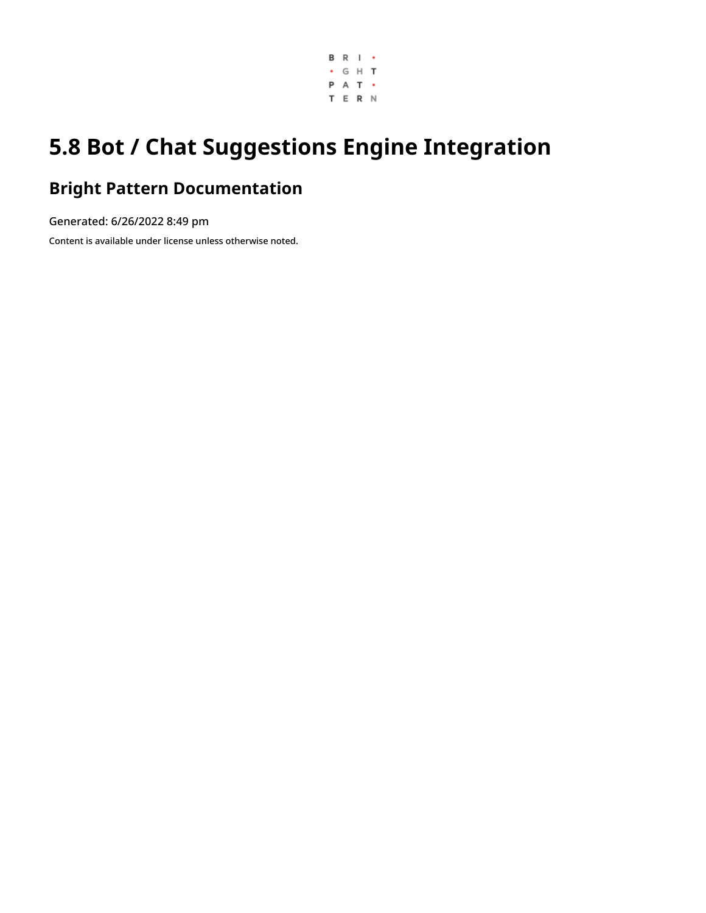

# **5.8 Bot / Chat Suggestions Engine Integration**

## **Bright Pattern Documentation**

Generated: 6/26/2022 8:49 pm

Content is available under license unless otherwise noted.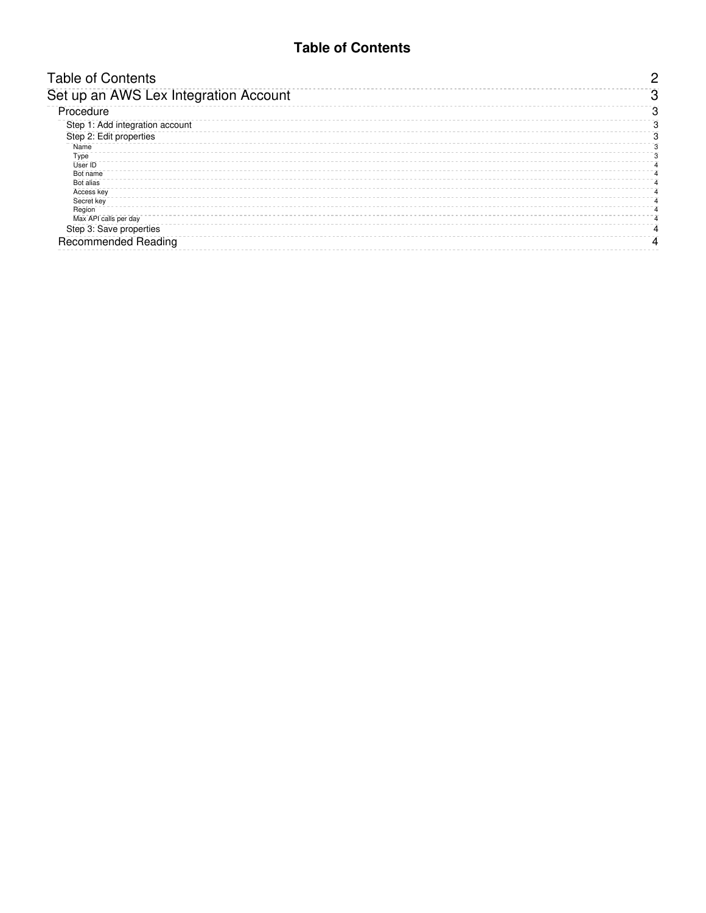#### **Table of Contents**

<span id="page-1-0"></span>

| <b>Table of Contents</b>              |   |
|---------------------------------------|---|
| Set up an AWS Lex Integration Account |   |
| Procedure                             | З |
| Step 1: Add integration account       | З |
| Step 2: Edit properties               |   |
| Name                                  |   |
| Type                                  |   |
| User ID                               |   |
| Bot name                              |   |
| Bot alias                             |   |
| Access key                            |   |
| Secret key                            |   |
| Region                                |   |
| Max API calls per day                 |   |
| Step 3: Save properties               |   |
| <b>Recommended Reading</b>            |   |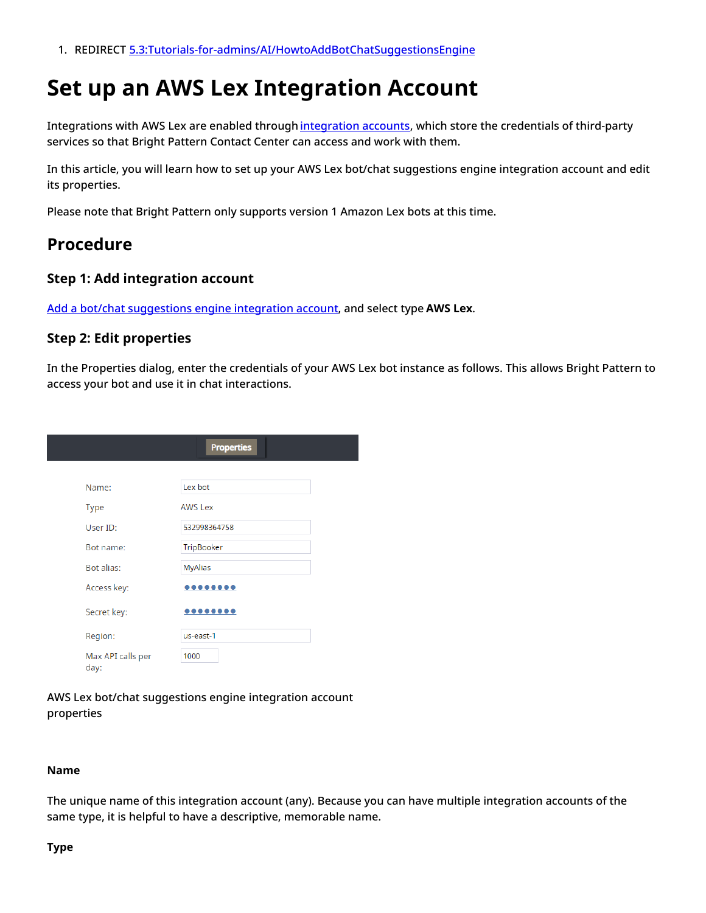1. REDIRECT [5.3:Tutorials-for-admins/AI/HowtoAddBotChatSuggestionsEngine](https://help.brightpattern.com/5.3:Tutorials-for-admins/AI/HowtoAddBotChatSuggestionsEngine)

## <span id="page-2-0"></span>**Set up an AWS Lex Integration Account**

Integrations with AWS Lex are enabled through [integration](https://help.brightpattern.com/5.8:Contact-center-administrator-guide/CallCenterConfiguration/IntegrationAccounts/BotChatSuggestionsEngine/?action=html-localimages-export#topic_contact-center-administrator-guide.2Fintegrationaccounts) accounts, which store the credentials of third-party services so that Bright Pattern Contact Center can access and work with them.

In this article, you will learn how to set up your AWS Lex bot/chat suggestions engine integration account and edit its properties.

Please note that Bright Pattern only supports version 1 Amazon Lex bots at this time.

### <span id="page-2-1"></span>**Procedure**

#### <span id="page-2-2"></span>**Step 1: Add integration account**

Add a bot/chat [suggestions](https://help.brightpattern.com/5.8:Contact-center-administrator-guide/CallCenterConfiguration/IntegrationAccounts/BotChatSuggestionsEngine/?action=html-localimages-export#topic_tutorials-for-admins.2Fhowtoaddbotchatsuggestionsengine) engine integration account, and select type **AWS Lex**.

#### <span id="page-2-3"></span>**Step 2: Edit properties**

In the Properties dialog, enter the credentials of your AWS Lex bot instance as follows. This allows Bright Pattern to access your bot and use it in chat interactions.

|                           | <b>Properties</b> |
|---------------------------|-------------------|
|                           |                   |
| Name:                     | Lex bot           |
| <b>Type</b>               | <b>AWS Lex</b>    |
| User ID:                  | 532998364758      |
| Bot name:                 | TripBooker        |
| Bot alias:                | <b>MyAlias</b>    |
| Access key:               |                   |
| Secret key:               | $•••••••••$       |
| Region:                   | us-east-1         |
| Max API calls per<br>day: | 1000              |

AWS Lex bot/chat suggestions engine integration account properties

#### <span id="page-2-4"></span>**Name**

The unique name of this integration account (any). Because you can have multiple integration accounts of the same type, it is helpful to have a descriptive, memorable name.

#### <span id="page-2-5"></span>**Type**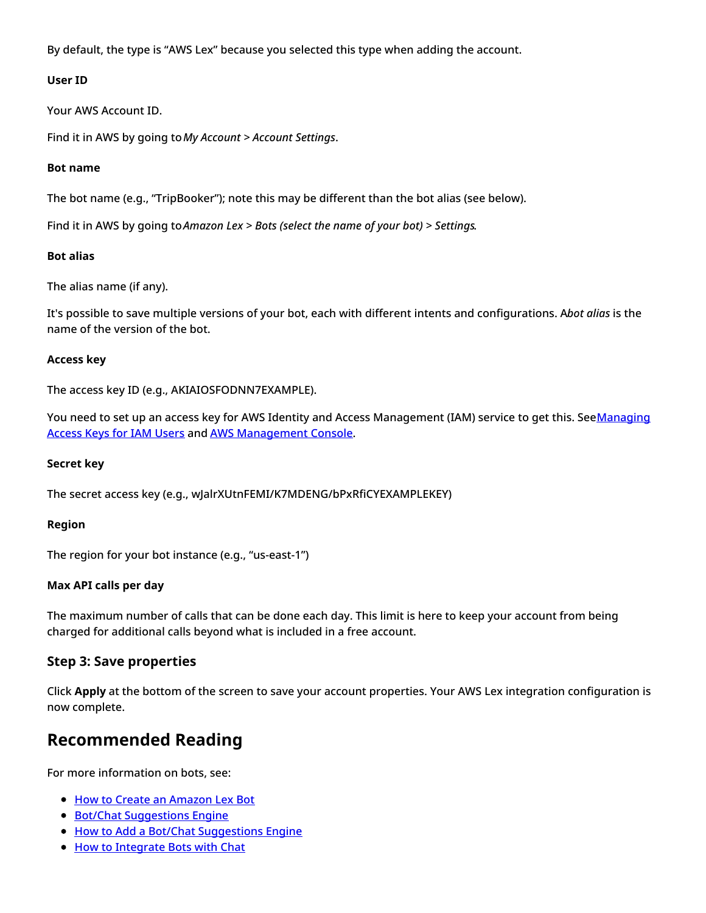By default, the type is "AWS Lex" because you selected this type when adding the account.

#### <span id="page-3-0"></span>**User ID**

Your AWS Account ID.

Find it in AWS by going to*My Account > Account Settings*.

#### <span id="page-3-1"></span>**Bot name**

The bot name (e.g., "TripBooker"); note this may be different than the bot alias (see below).

Find it in AWS by going to*Amazon Lex > Bots (select the name of your bot) > Settings*.

#### <span id="page-3-2"></span>**Bot alias**

The alias name (if any).

It's possible to save multiple versions of your bot, each with different intents and configurations. A*bot alias* is the name of the version of the bot.

#### <span id="page-3-3"></span>**Access key**

The access key ID (e.g., AKIAIOSFODNN7EXAMPLE).

You need to set up an access key for AWS Identity and Access Management (IAM) service to get this. [SeeManaging](https://docs.aws.amazon.com/IAM/latest/UserGuide/id_credentials_access-keys.html) Access Keys for IAM Users and AWS [Management](https://console.aws.amazon.com/iam/) Console.

#### <span id="page-3-4"></span>**Secret key**

The secret access key (e.g., wJalrXUtnFEMI/K7MDENG/bPxRfiCYEXAMPLEKEY)

#### <span id="page-3-5"></span>**Region**

The region for your bot instance (e.g., "us-east-1")

#### <span id="page-3-6"></span>**Max API calls per day**

The maximum number of calls that can be done each day. This limit is here to keep your account from being charged for additional calls beyond what is included in a free account.

#### <span id="page-3-7"></span>**Step 3: Save properties**

Click **Apply** at the bottom of the screen to save your account properties. Your AWS Lex integration configuration is now complete.

### <span id="page-3-8"></span>**Recommended Reading**

For more information on bots, see:

- How to Create an [Amazon](https://help.brightpattern.com/5.3:Tutorials-for-admins/HowtoCreateAmazonLexBot) Lex Bot
- Bot/Chat [Suggestions](https://help.brightpattern.com/5.3:Contact-center-administrator-guide/IntegrationAccounts/BotChatSuggestionsEngine) Engine
- **How to Add a Bot/Chat [Suggestions](https://help.brightpattern.com/5.3:Tutorials-for-admins/HowtoAddBotChatSuggestionsEngine) Engine**
- How to [Integrate](https://help.brightpattern.com/5.3:Contact-center-administrator-guide/HowtoIntegrateBotswithChat) Bots with Chat